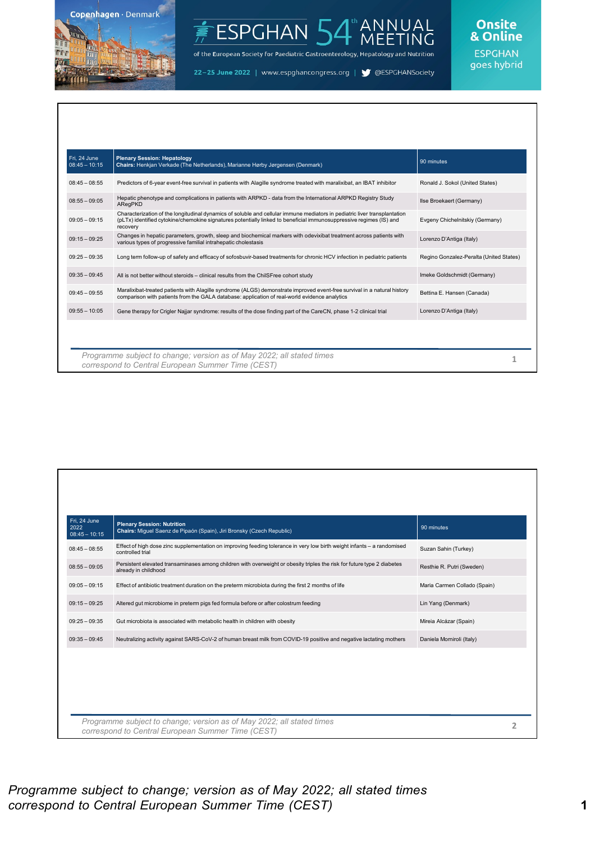

#### ANNUAL<br>MEETING ESPGHAN<sup>L</sup>

of the European Society for Paediatric Gastroenterology, Hepatology and Nutrition

22-25 June 2022 | www.espghancongress.org | S @ESPGHANSociety

# Onsite<br>& Online

| $08:45 - 08:55$<br>Predictors of 6-year event-free survival in patients with Alagille syndrome treated with maralixibat, an IBAT inhibitor<br>Ronald J. Sokol (United States)<br>Hepatic phenotype and complications in patients with ARPKD - data from the International ARPKD Registry Study<br>$08:55 - 09:05$<br>Ilse Broekaert (Germany)<br>ARegPKD<br>Characterization of the longitudinal dynamics of soluble and cellular immune mediators in pediatric liver transplantation<br>$09:05 - 09:15$<br>Evgeny Chichelnitskiy (Germany)<br>(pLTx) identified cytokine/chemokine signatures potentially linked to beneficial immunosuppressive regimes (IS) and<br>recovery<br>Changes in hepatic parameters, growth, sleep and biochemical markers with odevixibat treatment across patients with<br>$09:15 - 09:25$<br>Lorenzo D'Antiga (Italy)<br>various types of progressive familial intrahepatic cholestasis<br>$09:25 - 09:35$<br>Long term follow-up of safety and efficacy of sofosbuvir-based treatments for chronic HCV infection in pediatric patients<br>$09:35 - 09:45$<br>Imeke Goldschmidt (Germany)<br>All is not better without steroids - clinical results from the ChilSFree cohort study<br>Maralixibat-treated patients with Alagille syndrome (ALGS) demonstrate improved event-free survival in a natural history<br>$09:45 - 09:55$<br>Bettina E. Hansen (Canada)<br>comparison with patients from the GALA database: application of real-world evidence analytics<br>$09:55 - 10:05$<br>Lorenzo D'Antiga (Italy)<br>Gene therapy for Crigler Najjar syndrome: results of the dose finding part of the CareCN, phase 1-2 clinical trial | Fri. 24 June<br>$08:45 - 10:15$ | <b>Plenary Session: Hepatology</b><br>Chairs: Henkjan Verkade (The Netherlands), Marianne Hørby Jørgensen (Denmark) | 90 minutes                              |
|----------------------------------------------------------------------------------------------------------------------------------------------------------------------------------------------------------------------------------------------------------------------------------------------------------------------------------------------------------------------------------------------------------------------------------------------------------------------------------------------------------------------------------------------------------------------------------------------------------------------------------------------------------------------------------------------------------------------------------------------------------------------------------------------------------------------------------------------------------------------------------------------------------------------------------------------------------------------------------------------------------------------------------------------------------------------------------------------------------------------------------------------------------------------------------------------------------------------------------------------------------------------------------------------------------------------------------------------------------------------------------------------------------------------------------------------------------------------------------------------------------------------------------------------------------------------------------------------------------------------------------------------------------------------|---------------------------------|---------------------------------------------------------------------------------------------------------------------|-----------------------------------------|
|                                                                                                                                                                                                                                                                                                                                                                                                                                                                                                                                                                                                                                                                                                                                                                                                                                                                                                                                                                                                                                                                                                                                                                                                                                                                                                                                                                                                                                                                                                                                                                                                                                                                      |                                 |                                                                                                                     |                                         |
|                                                                                                                                                                                                                                                                                                                                                                                                                                                                                                                                                                                                                                                                                                                                                                                                                                                                                                                                                                                                                                                                                                                                                                                                                                                                                                                                                                                                                                                                                                                                                                                                                                                                      |                                 |                                                                                                                     |                                         |
|                                                                                                                                                                                                                                                                                                                                                                                                                                                                                                                                                                                                                                                                                                                                                                                                                                                                                                                                                                                                                                                                                                                                                                                                                                                                                                                                                                                                                                                                                                                                                                                                                                                                      |                                 |                                                                                                                     |                                         |
|                                                                                                                                                                                                                                                                                                                                                                                                                                                                                                                                                                                                                                                                                                                                                                                                                                                                                                                                                                                                                                                                                                                                                                                                                                                                                                                                                                                                                                                                                                                                                                                                                                                                      |                                 |                                                                                                                     |                                         |
|                                                                                                                                                                                                                                                                                                                                                                                                                                                                                                                                                                                                                                                                                                                                                                                                                                                                                                                                                                                                                                                                                                                                                                                                                                                                                                                                                                                                                                                                                                                                                                                                                                                                      |                                 |                                                                                                                     | Regino Gonzalez-Peralta (United States) |
|                                                                                                                                                                                                                                                                                                                                                                                                                                                                                                                                                                                                                                                                                                                                                                                                                                                                                                                                                                                                                                                                                                                                                                                                                                                                                                                                                                                                                                                                                                                                                                                                                                                                      |                                 |                                                                                                                     |                                         |
|                                                                                                                                                                                                                                                                                                                                                                                                                                                                                                                                                                                                                                                                                                                                                                                                                                                                                                                                                                                                                                                                                                                                                                                                                                                                                                                                                                                                                                                                                                                                                                                                                                                                      |                                 |                                                                                                                     |                                         |
|                                                                                                                                                                                                                                                                                                                                                                                                                                                                                                                                                                                                                                                                                                                                                                                                                                                                                                                                                                                                                                                                                                                                                                                                                                                                                                                                                                                                                                                                                                                                                                                                                                                                      |                                 |                                                                                                                     |                                         |
|                                                                                                                                                                                                                                                                                                                                                                                                                                                                                                                                                                                                                                                                                                                                                                                                                                                                                                                                                                                                                                                                                                                                                                                                                                                                                                                                                                                                                                                                                                                                                                                                                                                                      |                                 |                                                                                                                     |                                         |
|                                                                                                                                                                                                                                                                                                                                                                                                                                                                                                                                                                                                                                                                                                                                                                                                                                                                                                                                                                                                                                                                                                                                                                                                                                                                                                                                                                                                                                                                                                                                                                                                                                                                      |                                 |                                                                                                                     |                                         |

| Fri, 24 June<br>2022<br>$08:45 - 10:15$ | <b>Plenary Session: Nutrition</b><br>Chairs: Miguel Saenz de Pipaón (Spain), Jiri Bronsky (Czech Republic)                                      | 90 minutes                   |
|-----------------------------------------|-------------------------------------------------------------------------------------------------------------------------------------------------|------------------------------|
| $08:45 - 08:55$                         | Effect of high dose zinc supplementation on improving feeding tolerance in very low birth weight infants - a randomised<br>controlled trial     | Suzan Sahin (Turkey)         |
| $08:55 - 09:05$                         | Persistent elevated transaminases among children with overweight or obesity triples the risk for future type 2 diabetes<br>already in childhood | Resthie R. Putri (Sweden)    |
| $09:05 - 09:15$                         | Effect of antibiotic treatment duration on the preterm microbiota during the first 2 months of life                                             | Maria Carmen Collado (Spain) |
| $09:15 - 09:25$                         | Altered gut microbiome in preterm pigs fed formula before or after colostrum feeding                                                            | Lin Yang (Denmark)           |
| $09:25 - 09:35$                         | Gut microbiota is associated with metabolic health in children with obesity                                                                     | Mireia Alcázar (Spain)       |
| $09:35 - 09:45$                         | Neutralizing activity against SARS-CoV-2 of human breast milk from COVID-19 positive and negative lactating mothers                             | Daniela Morniroli (Italy)    |
|                                         |                                                                                                                                                 |                              |
|                                         |                                                                                                                                                 |                              |
|                                         |                                                                                                                                                 |                              |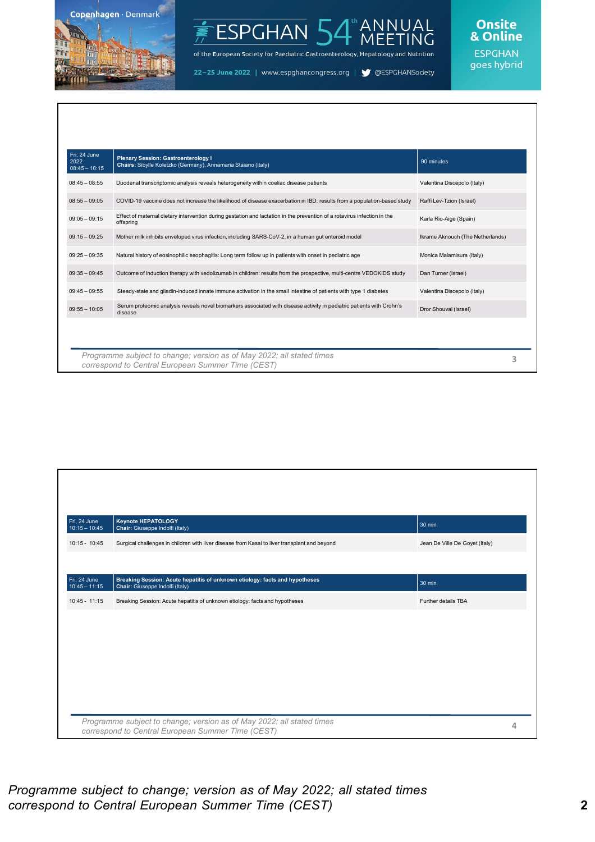

### ANNUAL<br>MEETING ESPGHAN<sup>1</sup>

of the European Society for Paediatric Gastroenterology, Hepatology and Nutrition

22-25 June 2022 | www.espghancongress.org | S @ESPGHANSociety

## Onsite<br>& Online

**ESPGHAN** goes hybrid

| Fri, 24 June<br>2022<br>$08:45 - 10:15$ | <b>Plenary Session: Gastroenterology I</b><br>Chairs: Sibylle Koletzko (Germany), Annamaria Staiano (Italy)                           | 90 minutes                       |
|-----------------------------------------|---------------------------------------------------------------------------------------------------------------------------------------|----------------------------------|
| $08:45 - 08:55$                         | Duodenal transcriptomic analysis reveals heterogeneity within coeliac disease patients                                                | Valentina Discepolo (Italy)      |
| $08:55 - 09:05$                         | COVID-19 vaccine does not increase the likelihood of disease exacerbation in IBD: results from a population-based study               | Raffi Lev-Tzion (Israel)         |
| $09:05 - 09:15$                         | Effect of maternal dietary intervention during gestation and lactation in the prevention of a rotavirus infection in the<br>offspring | Karla Rio-Aige (Spain)           |
| $09:15 - 09:25$                         | Mother milk inhibits enveloped virus infection, including SARS-CoV-2, in a human gut enteroid model                                   | Ikrame Aknouch (The Netherlands) |
| $09:25 - 09:35$                         | Natural history of eosinophilic esophagitis: Long term follow up in patients with onset in pediatric age                              | Monica Malamisura (Italy)        |
| $09:35 - 09:45$                         | Outcome of induction therapy with vedolizumab in children: results from the prospective, multi-centre VEDOKIDS study                  | Dan Turner (Israel)              |
| $09:45 - 09:55$                         | Steady-state and gliadin-induced innate immune activation in the small intestine of patients with type 1 diabetes                     | Valentina Discepolo (Italy)      |
| $09:55 - 10:05$                         | Serum proteomic analysis reveals novel biomarkers associated with disease activity in pediatric patients with Crohn's<br>disease      | Dror Shouval (Israel)            |
|                                         |                                                                                                                                       |                                  |
|                                         |                                                                                                                                       |                                  |
|                                         | Programme subject to change; version as of May 2022; all stated times<br>correspond to Central European Summer Time (CEST)            | 3                                |

| Fri, 24 June<br>$10:15 - 10:45$   | <b>Keynote HEPATOLOGY</b><br>Chair: Giuseppe Indolfi (Italy)                                                               | 30 min                         |
|-----------------------------------|----------------------------------------------------------------------------------------------------------------------------|--------------------------------|
| $10:15 - 10:45$                   | Surgical challenges in children with liver disease from Kasai to liver transplant and beyond                               | Jean De Ville De Goyet (Italy) |
|                                   |                                                                                                                            |                                |
| Fri, $24$ June<br>$10:45 - 11:15$ | Breaking Session: Acute hepatitis of unknown etiology: facts and hypotheses<br>Chair: Giuseppe Indolfi (Italy)             | 30 min                         |
| $10:45 - 11:15$                   | Breaking Session: Acute hepatitis of unknown etiology: facts and hypotheses                                                | Further details TBA            |
|                                   |                                                                                                                            |                                |
|                                   |                                                                                                                            |                                |
|                                   |                                                                                                                            |                                |
|                                   |                                                                                                                            |                                |
|                                   |                                                                                                                            |                                |
|                                   |                                                                                                                            |                                |
|                                   | Programme subject to change; version as of May 2022; all stated times<br>correspond to Central European Summer Time (CEST) |                                |

#### *Programme subject to change; version as of May 2022; all stated times correspond to Central European Summer Time (CEST)* **2**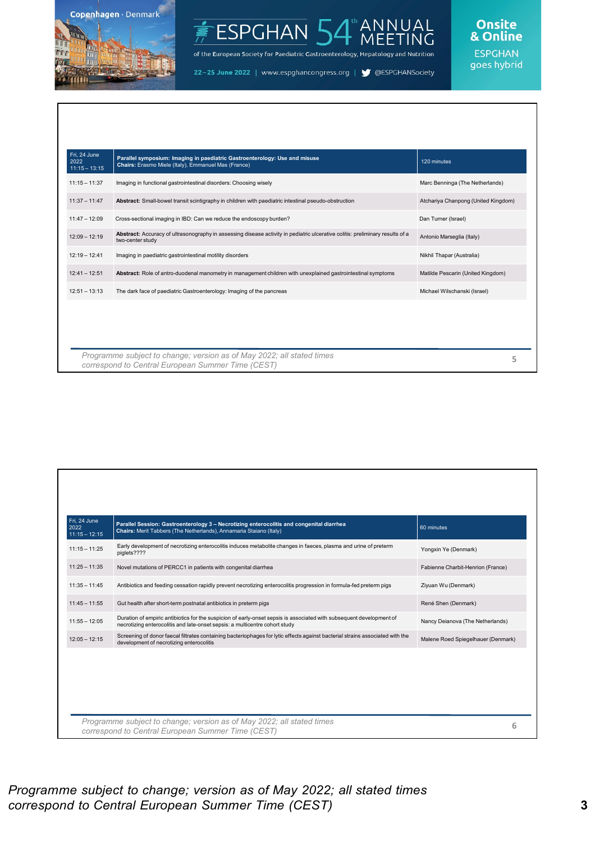

#### ANNUAL<br>MEETING ESPGHAN<sup>I</sup>

of the European Society for Paediatric Gastroenterology, Hepatology and Nutrition

22-25 June 2022 | www.espghancongress.org | S @ESPGHANSociety

# Onsite<br>& Online

| Fri, 24 June<br>2022<br>$11:15 - 13:15$ | Parallel symposium: Imaging in paediatric Gastroenterology: Use and misuse<br>Chairs: Erasmo Miele (Italy), Emmanuel Mas (France)                 | 120 minutes                         |
|-----------------------------------------|---------------------------------------------------------------------------------------------------------------------------------------------------|-------------------------------------|
| $11:15 - 11:37$                         | Imaging in functional gastrointestinal disorders: Choosing wisely                                                                                 | Marc Benninga (The Netherlands)     |
| $11:37 - 11:47$                         | Abstract: Small-bowel transit scintigraphy in children with paediatric intestinal pseudo-obstruction                                              | Atchariya Chanpong (United Kingdom) |
| $11:47 - 12:09$                         | Cross-sectional imaging in IBD: Can we reduce the endoscopy burden?                                                                               | Dan Turner (Israel)                 |
| $12:09 - 12:19$                         | Abstract: Accuracy of ultrasonography in assessing disease activity in pediatric ulcerative colitis: preliminary results of a<br>two-center study | Antonio Marseglia (Italy)           |
| $12:19 - 12:41$                         | Imaging in paediatric gastrointestinal motility disorders                                                                                         | Nikhil Thapar (Australia)           |
| $12:41 - 12:51$                         | Abstract: Role of antro-duodenal manometry in management children with unexplained gastrointestinal symptoms                                      | Matilde Pescarin (United Kingdom)   |
| $12:51 - 13:13$                         | The dark face of paediatric Gastroenterology: Imaging of the pancreas                                                                             | Michael Wilschanski (Israel)        |
|                                         |                                                                                                                                                   |                                     |
|                                         | Programme subject to change; version as of May 2022; all stated times<br>correspond to Central European Summer Time (CEST)                        |                                     |

| Fri. 24 June<br>2022<br>$11:15 - 12:15$ | Parallel Session: Gastroenterology 3 - Necrotizing enterocolitis and congenital diarrhea<br>Chairs: Merit Tabbers (The Netherlands), Annamaria Staiano (Italy)                                      | 60 minutes                         |
|-----------------------------------------|-----------------------------------------------------------------------------------------------------------------------------------------------------------------------------------------------------|------------------------------------|
| $11:15 - 11:25$                         | Early development of necrotizing enterocolitis induces metabolite changes in faeces, plasma and urine of preterm<br>piglets????                                                                     | Yongxin Ye (Denmark)               |
| $11:25 - 11:35$                         | Novel mutations of PERCC1 in patients with congenital diarrhea                                                                                                                                      | Fabienne Charbit-Henrion (France)  |
| $11:35 - 11:45$                         | Antibiotics and feeding cessation rapidly prevent necrotizing enterocolitis progression in formula-fed preterm pigs                                                                                 | Ziyuan Wu (Denmark)                |
| $11:45 - 11:55$                         | Gut health after short-term postnatal antibiotics in preterm pigs                                                                                                                                   | René Shen (Denmark)                |
| $11:55 - 12:05$                         | Duration of empiric antibiotics for the suspicion of early-onset sepsis is associated with subsequent development of<br>necrotizing enterocolitis and late-onset sepsis: a multicentre cohort study | Nancy Deianova (The Netherlands)   |
| $12:05 - 12:15$                         | Screening of donor faecal filtrates containing bacteriophages for lytic effects against bacterial strains associated with the<br>development of necrotizing enterocolitis                           | Malene Roed Spiegelhauer (Denmark) |
|                                         |                                                                                                                                                                                                     |                                    |
|                                         |                                                                                                                                                                                                     |                                    |
|                                         |                                                                                                                                                                                                     |                                    |
|                                         |                                                                                                                                                                                                     |                                    |
|                                         | Programme subject to change; version as of May 2022; all stated times<br>correspond to Central European Summer Time (CEST)                                                                          | 6                                  |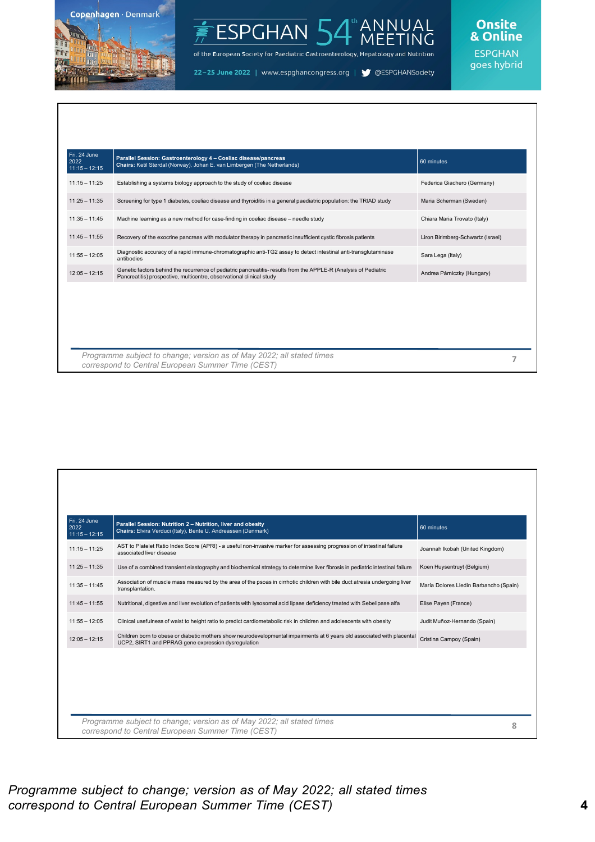

#### ANNUAL<br>MEETING ESPGHAN<sub>5</sub>

of the European Society for Paediatric Gastroenterology, Hepatology and Nutrition

22-25 June 2022 | www.espghancongress.org | S @ESPGHANSociety

#### **Onsite** & Online

| Fri, 24 June<br>2022<br>$11:15 - 12:15$ | Parallel Session: Gastroenterology 4 - Coeliac disease/pancreas<br>Chairs: Ketil Størdal (Norway), Johan E. van Limbergen (The Netherlands)                                             | 60 minutes                        |
|-----------------------------------------|-----------------------------------------------------------------------------------------------------------------------------------------------------------------------------------------|-----------------------------------|
| $11:15 - 11:25$                         | Establishing a systems biology approach to the study of coeliac disease                                                                                                                 | Federica Giachero (Germany)       |
| $11:25 - 11:35$                         | Screening for type 1 diabetes, coeliac disease and thyroiditis in a general paediatric population: the TRIAD study                                                                      | Maria Scherman (Sweden)           |
| $11:35 - 11:45$                         | Machine learning as a new method for case-finding in coeliac disease - needle study                                                                                                     | Chiara Maria Trovato (Italy)      |
| $11:45 - 11:55$                         | Recovery of the exocrine pancreas with modulator therapy in pancreatic insufficient cystic fibrosis patients                                                                            | Liron Birimberg-Schwartz (Israel) |
| $11:55 - 12:05$                         | Diagnostic accuracy of a rapid immune-chromatographic anti-TG2 assay to detect intestinal anti-transglutaminase<br>antibodies                                                           | Sara Lega (Italy)                 |
| $12:05 - 12:15$                         | Genetic factors behind the recurrence of pediatric pancreatitis-results from the APPLE-R (Analysis of Pediatric<br>Pancreatitis) prospective, multicentre, observational clinical study | Andrea Párniczky (Hungary)        |
|                                         |                                                                                                                                                                                         |                                   |
|                                         | Programme subject to change; version as of May 2022; all stated times                                                                                                                   |                                   |

| Fri. 24 June<br>2022<br>$11:15 - 12:15$ | Parallel Session: Nutrition 2 - Nutrition, liver and obesity<br>Chairs: Elvira Verduci (Italy), Bente U. Andreassen (Denmark)                                                  | 60 minutes                             |
|-----------------------------------------|--------------------------------------------------------------------------------------------------------------------------------------------------------------------------------|----------------------------------------|
| $11:15 - 11:25$                         | AST to Platelet Ratio Index Score (APRI) - a useful non-invasive marker for assessing progression of intestinal failure<br>associated liver disease                            | Joannah Ikobah (United Kingdom)        |
| $11:25 - 11:35$                         | Use of a combined transient elastography and biochemical strategy to determine liver fibrosis in pediatric intestinal failure                                                  | Koen Huysentruyt (Belgium)             |
| $11:35 - 11:45$                         | Association of muscle mass measured by the area of the psoas in cirrhotic children with bile duct atresia undergoing liver<br>transplantation.                                 | María Dolores Lledín Barbancho (Spain) |
| $11:45 - 11:55$                         | Nutritional, digestive and liver evolution of patients with lysosomal acid lipase deficiency treated with Sebelipase alfa                                                      | Elise Payen (France)                   |
| $11:55 - 12:05$                         | Clinical usefulness of waist to height ratio to predict cardiometabolic risk in children and adolescents with obesity                                                          | Judit Muñoz-Hernando (Spain)           |
| $12:05 - 12:15$                         | Children born to obese or diabetic mothers show neurodevelopmental impairments at 6 years old associated with placental<br>UCP2, SIRT1 and PPRAG gene expression dysregulation | Cristina Campoy (Spain)                |
|                                         |                                                                                                                                                                                |                                        |
|                                         |                                                                                                                                                                                |                                        |
|                                         |                                                                                                                                                                                |                                        |
|                                         | Programme subject to change; version as of May 2022; all stated times                                                                                                          |                                        |
|                                         | correspond to Central European Summer Time (CEST)                                                                                                                              | 8                                      |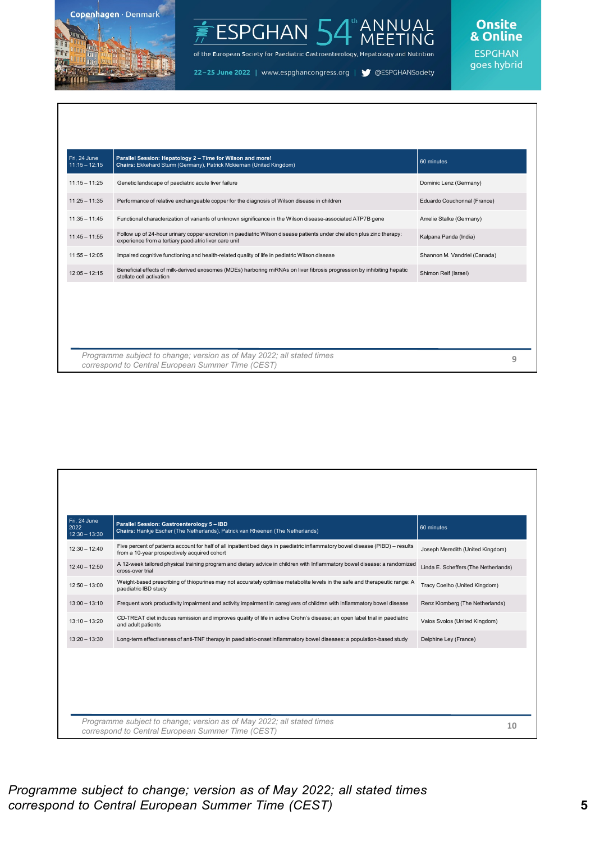

#### ANNUAL<br>MEETING ESPGHAN<sup>L</sup>

of the European Society for Paediatric Gastroenterology, Hepatology and Nutrition

22-25 June 2022 | www.espghancongress.org | S @ESPGHANSociety

## Onsite<br>& Online

| Fri, 24 June<br>$11:15 - 12:15$ | Parallel Session: Hepatology 2 - Time for Wilson and more!<br>Chairs: Ekkehard Sturm (Germany), Patrick Mckiernan (United Kingdom)                                              | 60 minutes                   |
|---------------------------------|---------------------------------------------------------------------------------------------------------------------------------------------------------------------------------|------------------------------|
| $11:15 - 11:25$                 | Genetic landscape of paediatric acute liver failure                                                                                                                             | Dominic Lenz (Germany)       |
| $11:25 - 11:35$                 | Performance of relative exchangeable copper for the diagnosis of Wilson disease in children                                                                                     | Eduardo Couchonnal (France)  |
| $11:35 - 11:45$                 | Functional characterization of variants of unknown significance in the Wilson disease-associated ATP7B gene                                                                     | Amelie Stalke (Germany)      |
| $11:45 - 11:55$                 | Follow up of 24-hour urinary copper excretion in paediatric Wilson disease patients under chelation plus zinc therapy:<br>experience from a tertiary paediatric liver care unit | Kalpana Panda (India)        |
| $11:55 - 12:05$                 | Impaired cognitive functioning and health-related quality of life in pediatric Wilson disease                                                                                   | Shannon M. Vandriel (Canada) |
| $12:05 - 12:15$                 | Beneficial effects of milk-derived exosomes (MDEs) harboring miRNAs on liver fibrosis progression by inhibiting hepatic<br>stellate cell activation                             | Shimon Reif (Israel)         |
|                                 |                                                                                                                                                                                 |                              |
|                                 |                                                                                                                                                                                 |                              |
|                                 |                                                                                                                                                                                 |                              |
|                                 |                                                                                                                                                                                 |                              |
|                                 | Programme subject to change; version as of May 2022; all stated times<br>correspond to Central European Summer Time (CEST)                                                      | 9                            |

| Fri, 24 June<br>2022<br>$12:30 - 13:30$ | Parallel Session: Gastroenterology 5 - IBD<br>Chairs: Hankje Escher (The Netherlands), Patrick van Rheenen (The Netherlands)                                                  | 60 minutes                           |
|-----------------------------------------|-------------------------------------------------------------------------------------------------------------------------------------------------------------------------------|--------------------------------------|
| $12:30 - 12:40$                         | Five percent of patients account for half of all inpatient bed days in paediatric inflammatory bowel disease (PIBD) - results<br>from a 10-year prospectively acquired cohort | Joseph Meredith (United Kingdom)     |
| $12:40 - 12:50$                         | A 12-week tailored physical training program and dietary advice in children with Inflammatory bowel disease: a randomized<br>cross-over trial                                 | Linda E. Scheffers (The Netherlands) |
| $12:50 - 13:00$                         | Weight-based prescribing of thiopurines may not accurately optimise metabolite levels in the safe and therapeutic range: A<br>paediatric IBD study                            | Tracy Coelho (United Kingdom)        |
| $13:00 - 13:10$                         | Frequent work productivity impairment and activity impairment in caregivers of children with inflammatory bowel disease                                                       | Renz Klomberg (The Netherlands)      |
| $13:10 - 13:20$                         | CD-TREAT diet induces remission and improves quality of life in active Crohn's disease; an open label trial in paediatric<br>and adult patients                               | Vaios Svolos (United Kingdom)        |
| $13:20 - 13:30$                         | Long-term effectiveness of anti-TNF therapy in paediatric-onset inflammatory bowel diseases: a population-based study                                                         | Delphine Ley (France)                |
|                                         |                                                                                                                                                                               |                                      |
|                                         |                                                                                                                                                                               |                                      |
|                                         |                                                                                                                                                                               |                                      |
|                                         | Programme subject to change; version as of May 2022; all stated times<br>correspond to Central European Summer Time (CEST)                                                    | 10                                   |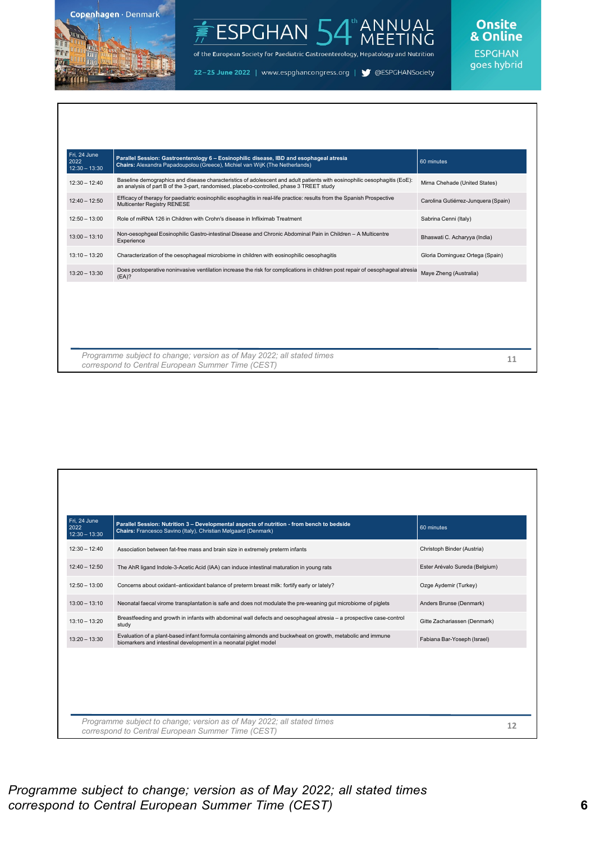

#### ANNUAL<br>MEETING ESPGHAN 54

of the European Society for Paediatric Gastroenterology, Hepatology and Nutrition

22-25 June 2022 | www.espghancongress.org | S @ESPGHANSociety

## Onsite<br>& Online

| $12:30 - 12:40$<br>$12:40 - 12:50$<br>$12:50 - 13:00$<br>$13:00 - 13:10$ | Baseline demographics and disease characteristics of adolescent and adult patients with eosinophilic oesophagitis (EoE):<br>an analysis of part B of the 3-part, randomised, placebo-controlled, phase 3 TREET study<br>Efficacy of therapy for paediatric eosinophilic esophagitis in real-life practice: results from the Spanish Prospective<br>Multicenter Registry RENESE<br>Role of miRNA 126 in Children with Crohn's disease in Infliximab Treatment | Mirna Chehade (United States)<br>Carolina Gutiérrez-Junquera (Spain)<br>Sabrina Cenni (Italy) |
|--------------------------------------------------------------------------|--------------------------------------------------------------------------------------------------------------------------------------------------------------------------------------------------------------------------------------------------------------------------------------------------------------------------------------------------------------------------------------------------------------------------------------------------------------|-----------------------------------------------------------------------------------------------|
|                                                                          |                                                                                                                                                                                                                                                                                                                                                                                                                                                              |                                                                                               |
|                                                                          |                                                                                                                                                                                                                                                                                                                                                                                                                                                              |                                                                                               |
|                                                                          |                                                                                                                                                                                                                                                                                                                                                                                                                                                              |                                                                                               |
|                                                                          | Non-oesophgeal Eosinophilic Gastro-intestinal Disease and Chronic Abdominal Pain in Children - A Multicentre<br>Experience                                                                                                                                                                                                                                                                                                                                   | Bhaswati C. Acharyya (India)                                                                  |
| $13:10 - 13:20$                                                          | Characterization of the oesophageal microbiome in children with eosinophilic oesophagitis                                                                                                                                                                                                                                                                                                                                                                    | Gloria Dominguez Ortega (Spain)                                                               |
| $13:20 - 13:30$                                                          | Does postoperative noninvasive ventilation increase the risk for complications in children post repair of oesophageal atresia<br>(EA)?                                                                                                                                                                                                                                                                                                                       | Maye Zheng (Australia)                                                                        |
|                                                                          |                                                                                                                                                                                                                                                                                                                                                                                                                                                              |                                                                                               |

| Fri, 24 June<br>2022<br>$12:30 - 13:30$ | Parallel Session: Nutrition 3 - Developmental aspects of nutrition - from bench to bedside<br>Chairs: Francesco Savino (Italy), Christian Mølgaard (Denmark)                    | 60 minutes                     |    |
|-----------------------------------------|---------------------------------------------------------------------------------------------------------------------------------------------------------------------------------|--------------------------------|----|
| $12:30 - 12:40$                         | Association between fat-free mass and brain size in extremely preterm infants                                                                                                   | Christoph Binder (Austria)     |    |
| $12:40 - 12:50$                         | The AhR ligand Indole-3-Acetic Acid (IAA) can induce intestinal maturation in young rats                                                                                        | Ester Arévalo Sureda (Belgium) |    |
| $12:50 - 13:00$                         | Concerns about oxidant-antioxidant balance of preterm breast milk: fortify early or lately?                                                                                     | Ozge Aydemir (Turkey)          |    |
| $13:00 - 13:10$                         | Neonatal faecal virome transplantation is safe and does not modulate the pre-weaning gut microbiome of piglets                                                                  | Anders Brunse (Denmark)        |    |
| $13:10 - 13:20$                         | Breastfeeding and growth in infants with abdominal wall defects and oesophageal atresia - a prospective case-control<br>study                                                   | Gitte Zachariassen (Denmark)   |    |
| $13:20 - 13:30$                         | Evaluation of a plant-based infant formula containing almonds and buckwheat on growth, metabolic and immune<br>biomarkers and intestinal development in a neonatal piglet model | Fabiana Bar-Yoseph (Israel)    |    |
|                                         |                                                                                                                                                                                 |                                |    |
|                                         | Programme subject to change; version as of May 2022; all stated times<br>correspond to Central European Summer Time (CEST)                                                      |                                | 12 |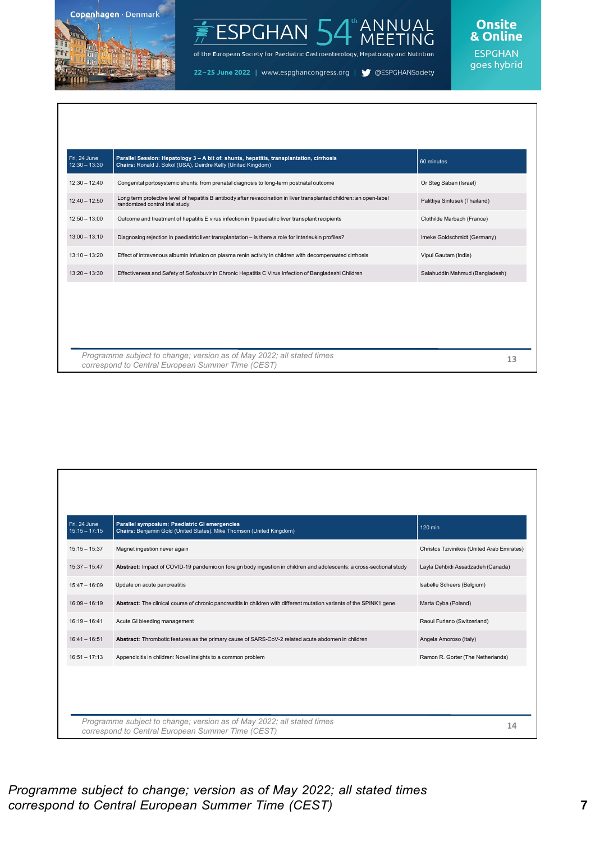

#### ANNUAL<br>MEETING ESPGHAN 54

of the European Society for Paediatric Gastroenterology, Hepatology and Nutrition

22-25 June 2022 | www.espghancongress.org | S @ESPGHANSociety

#### **Onsite** & Online

| Fri. 24 June<br>$12:30 - 13:30$ | Parallel Session: Hepatology 3 - A bit of: shunts, hepatitis, transplantation, cirrhosis<br>Chairs: Ronald J. Sokol (USA), Deirdre Kelly (United Kingdom) | 60 minutes                     |
|---------------------------------|-----------------------------------------------------------------------------------------------------------------------------------------------------------|--------------------------------|
| $12:30 - 12:40$                 | Congenital portosystemic shunts: from prenatal diagnosis to long-term postnatal outcome                                                                   | Or Steg Saban (Israel)         |
| $12:40 - 12:50$                 | Long term protective level of hepatitis B antibody after revaccination in liver transplanted children: an open-label<br>randomized control trial study    | Palittiya Sintusek (Thailand)  |
| $12:50 - 13:00$                 | Outcome and treatment of hepatitis E virus infection in 9 paediatric liver transplant recipients                                                          | Clothilde Marbach (France)     |
| $13:00 - 13:10$                 | Diagnosing rejection in paediatric liver transplantation - is there a role for interleukin profiles?                                                      | Imeke Goldschmidt (Germany)    |
| $13:10 - 13:20$                 | Effect of intravenous albumin infusion on plasma renin activity in children with decompensated cirrhosis                                                  | Vipul Gautam (India)           |
| $13:20 - 13:30$                 | Effectiveness and Safety of Sofosbuvir in Chronic Hepatitis C Virus Infection of Bangladeshi Children                                                     | Salahuddin Mahmud (Bangladesh) |
|                                 |                                                                                                                                                           |                                |
|                                 |                                                                                                                                                           |                                |
|                                 |                                                                                                                                                           |                                |
|                                 |                                                                                                                                                           |                                |
|                                 | Programme subject to change; version as of May 2022; all stated times<br>correspond to Central European Summer Time (CEST)                                | 13                             |

| Fri. 24 June<br>$15:15 - 17:15$ | Parallel symposium: Paediatric GI emergencies<br>Chairs: Benjamin Gold (United States), Mike Thomson (United Kingdom)      | 120 min                                    |
|---------------------------------|----------------------------------------------------------------------------------------------------------------------------|--------------------------------------------|
| $15:15 - 15:37$                 | Magnet ingestion never again                                                                                               | Christos Tzivinikos (United Arab Emirates) |
| $15:37 - 15:47$                 | Abstract: Impact of COVID-19 pandemic on foreign body ingestion in children and adolescents: a cross-sectional study       | Layla Dehbidi Assadzadeh (Canada)          |
| $15:47 - 16:09$                 | Update on acute pancreatitis                                                                                               | Isabelle Scheers (Belgium)                 |
| $16:09 - 16:19$                 | Abstract: The clinical course of chronic pancreatitis in children with different mutation variants of the SPINK1 gene.     | Marta Cyba (Poland)                        |
| $16:19 - 16:41$                 | Acute GI bleeding management                                                                                               | Raoul Furlano (Switzerland)                |
| $16:41 - 16:51$                 | Abstract: Thrombotic features as the primary cause of SARS-CoV-2 related acute abdomen in children                         | Angela Amoroso (Italy)                     |
| $16:51 - 17:13$                 | Appendicitis in children: Novel insights to a common problem                                                               | Ramon R. Gorter (The Netherlands)          |
|                                 |                                                                                                                            |                                            |
|                                 |                                                                                                                            |                                            |
|                                 |                                                                                                                            |                                            |
|                                 | Programme subject to change; version as of May 2022; all stated times<br>correspond to Central European Summer Time (CEST) | 14                                         |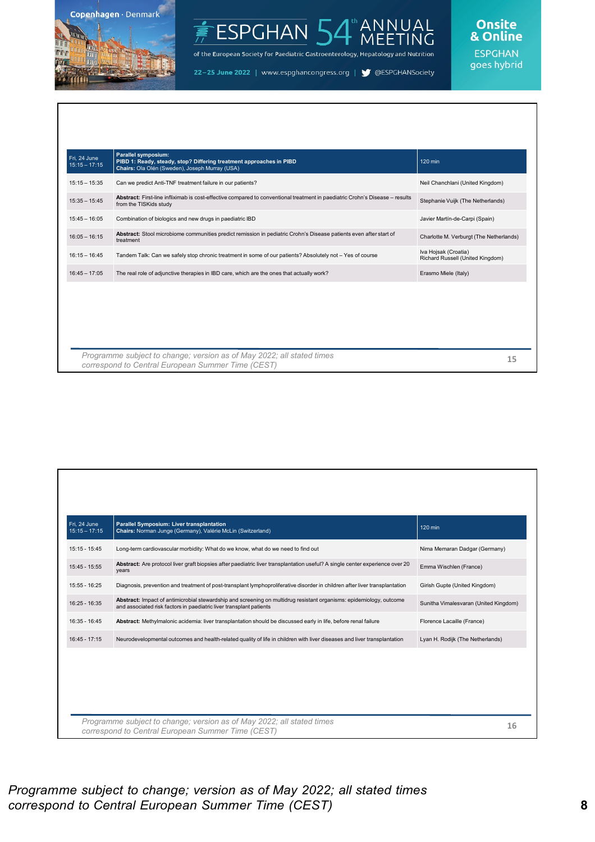

#### ANNUAL<br>MEETING ESPGHAN<sup>L</sup>

of the European Society for Paediatric Gastroenterology, Hepatology and Nutrition

22-25 June 2022 | www.espghancongress.org | S @ESPGHANSociety

| Fri. 24 June<br>$15:15 - 17:15$ | Parallel symposium:<br>PIBD 1: Ready, steady, stop? Differing treatment approaches in PIBD<br>Chairs: Ola Olén (Sweden), Joseph Murray (USA)           | 120 min                                                  |
|---------------------------------|--------------------------------------------------------------------------------------------------------------------------------------------------------|----------------------------------------------------------|
| $15:15 - 15:35$                 | Can we predict Anti-TNF treatment failure in our patients?                                                                                             | Neil Chanchlani (United Kingdom)                         |
| $15:35 - 15:45$                 | Abstract: First-line infliximab is cost-effective compared to conventional treatment in paediatric Crohn's Disease - results<br>from the TISKids study | Stephanie Vuijk (The Netherlands)                        |
| $15:45 - 16:05$                 | Combination of biologics and new drugs in paediatric IBD                                                                                               | Javier Martín-de-Carpi (Spain)                           |
| $16:05 - 16:15$                 | Abstract: Stool microbiome communities predict remission in pediatric Crohn's Disease patients even after start of<br>treatment                        | Charlotte M. Verburgt (The Netherlands)                  |
| $16:15 - 16:45$                 | Tandem Talk: Can we safely stop chronic treatment in some of our patients? Absolutely not - Yes of course                                              | Iva Hojsak (Croatia)<br>Richard Russell (United Kingdom) |
| $16:45 - 17:05$                 | The real role of adjunctive therapies in IBD care, which are the ones that actually work?                                                              | Erasmo Miele (Italy)                                     |
|                                 |                                                                                                                                                        |                                                          |
|                                 | Programme subject to change; version as of May 2022; all stated times<br>correspond to Central European Summer Time (CEST)                             | 15                                                       |

| Fri. 24 June<br>$15:15 - 17:15$ | Parallel Symposium: Liver transplantation<br>Chairs: Norman Junge (Germany), Valérie McLin (Switzerland)                                                                                   | 120 min                               |
|---------------------------------|--------------------------------------------------------------------------------------------------------------------------------------------------------------------------------------------|---------------------------------------|
| $15:15 - 15:45$                 | Long-term cardiovascular morbidity: What do we know, what do we need to find out                                                                                                           | Nima Memaran Dadgar (Germany)         |
| 15:45 - 15:55                   | Abstract: Are protocol liver graft biopsies after paediatric liver transplantation useful? A single center experience over 20<br>years                                                     | Emma Wischlen (France)                |
| 15:55 - 16:25                   | Diagnosis, prevention and treatment of post-transplant lymphoproliferative disorder in children after liver transplantation                                                                | Girish Gupte (United Kingdom)         |
| 16:25 - 16:35                   | Abstract: Impact of antimicrobial stewardship and screening on multidrug resistant organisms: epidemiology, outcome<br>and associated risk factors in paediatric liver transplant patients | Sunitha Vimalesvaran (United Kingdom) |
| 16:35 - 16:45                   | Abstract: Methylmalonic acidemia: liver transplantation should be discussed early in life, before renal failure                                                                            | Florence Lacaille (France)            |
| $16:45 - 17:15$                 | Neurodevelopmental outcomes and health-related quality of life in children with liver diseases and liver transplantation                                                                   | Lyan H. Rodijk (The Netherlands)      |
|                                 |                                                                                                                                                                                            |                                       |
|                                 |                                                                                                                                                                                            |                                       |
|                                 |                                                                                                                                                                                            |                                       |
|                                 | Programme subject to change; version as of May 2022; all stated times<br>correspond to Central European Summer Time (CEST)                                                                 | 16                                    |